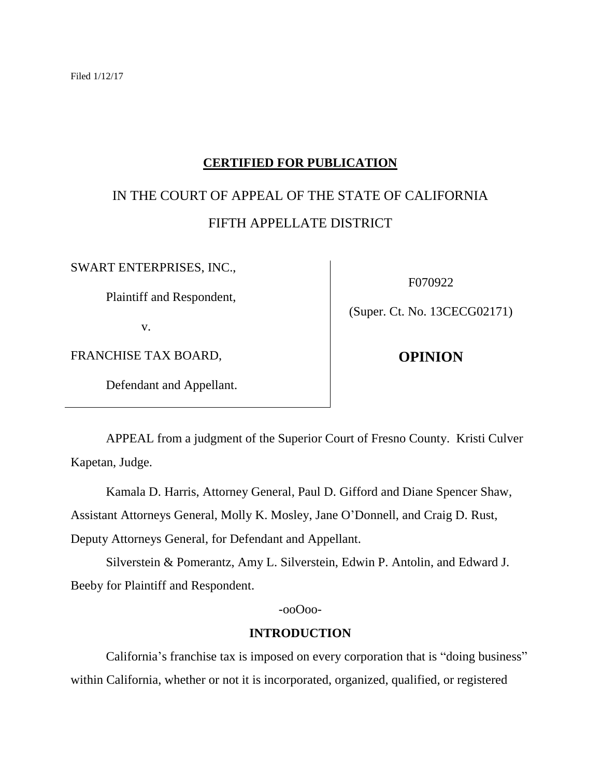### **CERTIFIED FOR PUBLICATION**

# IN THE COURT OF APPEAL OF THE STATE OF CALIFORNIA FIFTH APPELLATE DISTRICT

SWART ENTERPRISES, INC.,

Plaintiff and Respondent,

v.

FRANCHISE TAX BOARD,

Defendant and Appellant.

F070922

(Super. Ct. No. 13CECG02171)

**OPINION**

APPEAL from a judgment of the Superior Court of Fresno County. Kristi Culver Kapetan, Judge.

Kamala D. Harris, Attorney General, Paul D. Gifford and Diane Spencer Shaw,

Assistant Attorneys General, Molly K. Mosley, Jane O'Donnell, and Craig D. Rust,

Deputy Attorneys General, for Defendant and Appellant.

Silverstein & Pomerantz, Amy L. Silverstein, Edwin P. Antolin, and Edward J. Beeby for Plaintiff and Respondent.

-ooOoo-

#### **INTRODUCTION**

California's franchise tax is imposed on every corporation that is "doing business" within California, whether or not it is incorporated, organized, qualified, or registered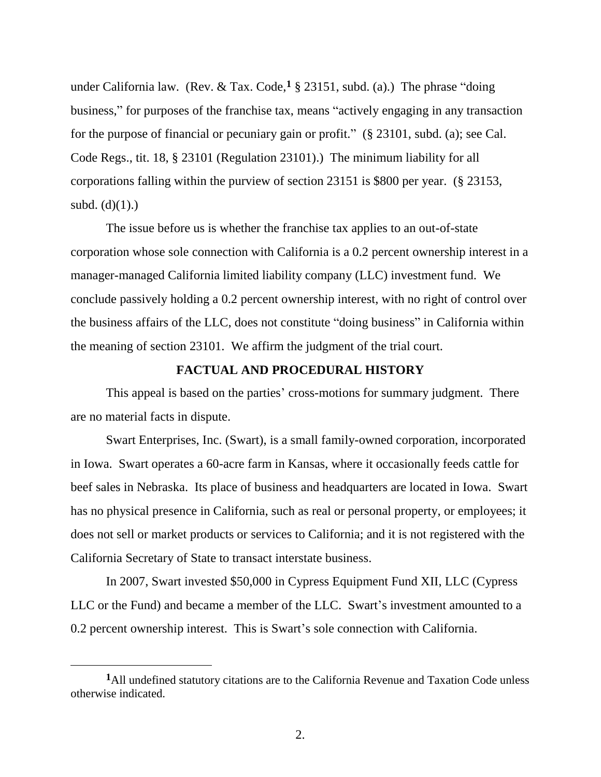under California law. (Rev. & Tax. Code,  $\frac{1}{2}$  § 23151, subd. (a).) The phrase "doing business," for purposes of the franchise tax, means "actively engaging in any transaction for the purpose of financial or pecuniary gain or profit." (§ 23101, subd. (a); see Cal. Code Regs., tit. 18, § 23101 (Regulation 23101).) The minimum liability for all corporations falling within the purview of section 23151 is \$800 per year. (§ 23153, subd.  $(d)(1)$ .)

The issue before us is whether the franchise tax applies to an out-of-state corporation whose sole connection with California is a 0.2 percent ownership interest in a manager-managed California limited liability company (LLC) investment fund. We conclude passively holding a 0.2 percent ownership interest, with no right of control over the business affairs of the LLC, does not constitute "doing business" in California within the meaning of section 23101. We affirm the judgment of the trial court.

#### **FACTUAL AND PROCEDURAL HISTORY**

This appeal is based on the parties' cross-motions for summary judgment. There are no material facts in dispute.

Swart Enterprises, Inc. (Swart), is a small family-owned corporation, incorporated in Iowa. Swart operates a 60-acre farm in Kansas, where it occasionally feeds cattle for beef sales in Nebraska. Its place of business and headquarters are located in Iowa. Swart has no physical presence in California, such as real or personal property, or employees; it does not sell or market products or services to California; and it is not registered with the California Secretary of State to transact interstate business.

In 2007, Swart invested \$50,000 in Cypress Equipment Fund XII, LLC (Cypress LLC or the Fund) and became a member of the LLC. Swart's investment amounted to a 0.2 percent ownership interest. This is Swart's sole connection with California.

**<sup>1</sup>**All undefined statutory citations are to the California Revenue and Taxation Code unless otherwise indicated.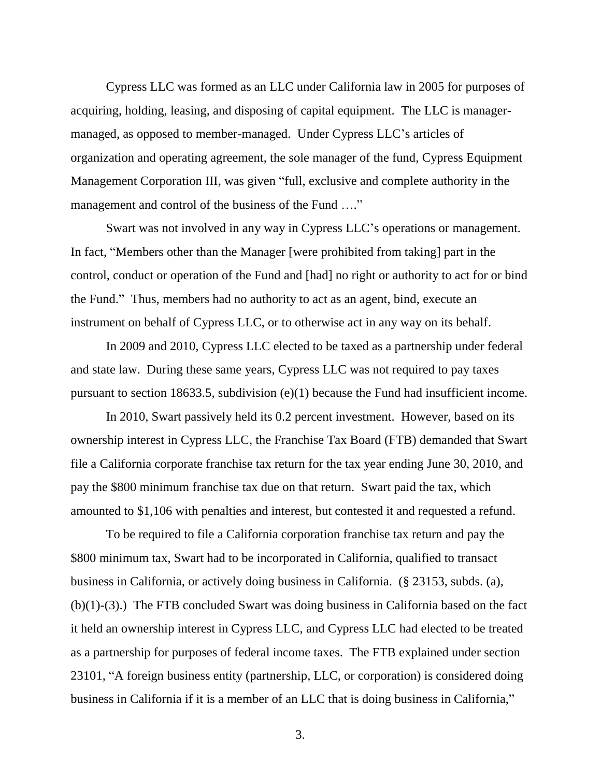Cypress LLC was formed as an LLC under California law in 2005 for purposes of acquiring, holding, leasing, and disposing of capital equipment. The LLC is managermanaged, as opposed to member-managed. Under Cypress LLC's articles of organization and operating agreement, the sole manager of the fund, Cypress Equipment Management Corporation III, was given "full, exclusive and complete authority in the management and control of the business of the Fund ...."

Swart was not involved in any way in Cypress LLC's operations or management. In fact, "Members other than the Manager [were prohibited from taking] part in the control, conduct or operation of the Fund and [had] no right or authority to act for or bind the Fund." Thus, members had no authority to act as an agent, bind, execute an instrument on behalf of Cypress LLC, or to otherwise act in any way on its behalf.

In 2009 and 2010, Cypress LLC elected to be taxed as a partnership under federal and state law. During these same years, Cypress LLC was not required to pay taxes pursuant to section 18633.5, subdivision (e)(1) because the Fund had insufficient income.

In 2010, Swart passively held its 0.2 percent investment. However, based on its ownership interest in Cypress LLC, the Franchise Tax Board (FTB) demanded that Swart file a California corporate franchise tax return for the tax year ending June 30, 2010, and pay the \$800 minimum franchise tax due on that return. Swart paid the tax, which amounted to \$1,106 with penalties and interest, but contested it and requested a refund.

To be required to file a California corporation franchise tax return and pay the \$800 minimum tax, Swart had to be incorporated in California, qualified to transact business in California, or actively doing business in California. (§ 23153, subds. (a), (b)(1)-(3).) The FTB concluded Swart was doing business in California based on the fact it held an ownership interest in Cypress LLC, and Cypress LLC had elected to be treated as a partnership for purposes of federal income taxes. The FTB explained under section 23101, "A foreign business entity (partnership, LLC, or corporation) is considered doing business in California if it is a member of an LLC that is doing business in California,"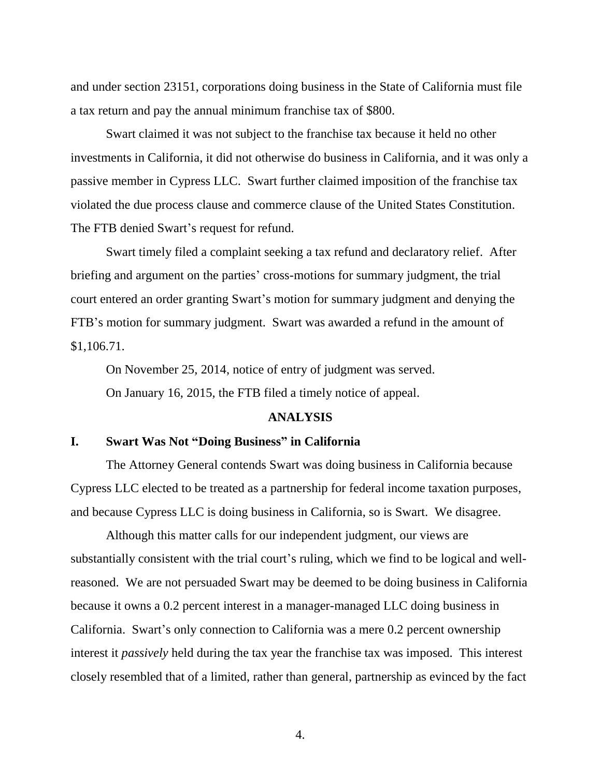and under section 23151, corporations doing business in the State of California must file a tax return and pay the annual minimum franchise tax of \$800.

Swart claimed it was not subject to the franchise tax because it held no other investments in California, it did not otherwise do business in California, and it was only a passive member in Cypress LLC. Swart further claimed imposition of the franchise tax violated the due process clause and commerce clause of the United States Constitution. The FTB denied Swart's request for refund.

Swart timely filed a complaint seeking a tax refund and declaratory relief. After briefing and argument on the parties' cross-motions for summary judgment, the trial court entered an order granting Swart's motion for summary judgment and denying the FTB's motion for summary judgment. Swart was awarded a refund in the amount of \$1,106.71.

On November 25, 2014, notice of entry of judgment was served. On January 16, 2015, the FTB filed a timely notice of appeal.

#### **ANALYSIS**

#### **I. Swart Was Not "Doing Business" in California**

The Attorney General contends Swart was doing business in California because Cypress LLC elected to be treated as a partnership for federal income taxation purposes, and because Cypress LLC is doing business in California, so is Swart. We disagree.

Although this matter calls for our independent judgment, our views are substantially consistent with the trial court's ruling, which we find to be logical and wellreasoned. We are not persuaded Swart may be deemed to be doing business in California because it owns a 0.2 percent interest in a manager-managed LLC doing business in California. Swart's only connection to California was a mere 0.2 percent ownership interest it *passively* held during the tax year the franchise tax was imposed. This interest closely resembled that of a limited, rather than general, partnership as evinced by the fact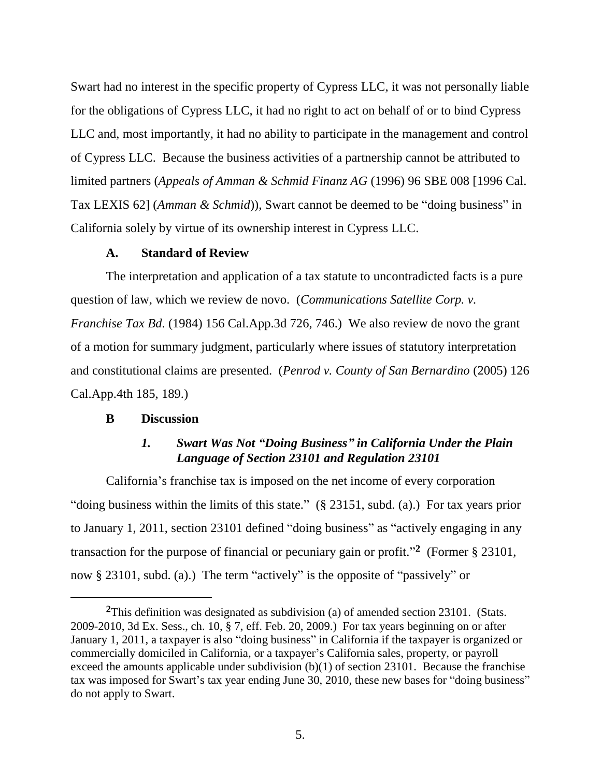Swart had no interest in the specific property of Cypress LLC, it was not personally liable for the obligations of Cypress LLC, it had no right to act on behalf of or to bind Cypress LLC and, most importantly, it had no ability to participate in the management and control of Cypress LLC. Because the business activities of a partnership cannot be attributed to limited partners (*Appeals of Amman & Schmid Finanz AG* (1996) 96 SBE 008 [1996 Cal. Tax LEXIS 62] (*Amman & Schmid*)), Swart cannot be deemed to be "doing business" in California solely by virtue of its ownership interest in Cypress LLC.

### **A. Standard of Review**

The interpretation and application of a tax statute to uncontradicted facts is a pure question of law, which we review de novo. (*Communications Satellite Corp. v. Franchise Tax Bd*. (1984) 156 Cal.App.3d 726, 746.) We also review de novo the grant of a motion for summary judgment, particularly where issues of statutory interpretation and constitutional claims are presented. (*Penrod v. County of San Bernardino* (2005) 126 Cal.App.4th 185, 189.)

### **B Discussion**

# *1. Swart Was Not "Doing Business" in California Under the Plain Language of Section 23101 and Regulation 23101*

California's franchise tax is imposed on the net income of every corporation "doing business within the limits of this state." (§ 23151, subd. (a).) For tax years prior to January 1, 2011, section 23101 defined "doing business" as "actively engaging in any transaction for the purpose of financial or pecuniary gain or profit." **2** (Former § 23101, now § 23101, subd. (a).) The term "actively" is the opposite of "passively" or

**<sup>2</sup>**This definition was designated as subdivision (a) of amended section 23101. (Stats. 2009-2010, 3d Ex. Sess., ch. 10, § 7, eff. Feb. 20, 2009.) For tax years beginning on or after January 1, 2011, a taxpayer is also "doing business" in California if the taxpayer is organized or commercially domiciled in California, or a taxpayer's California sales, property, or payroll exceed the amounts applicable under subdivision (b)(1) of section 23101. Because the franchise tax was imposed for Swart's tax year ending June 30, 2010, these new bases for "doing business" do not apply to Swart.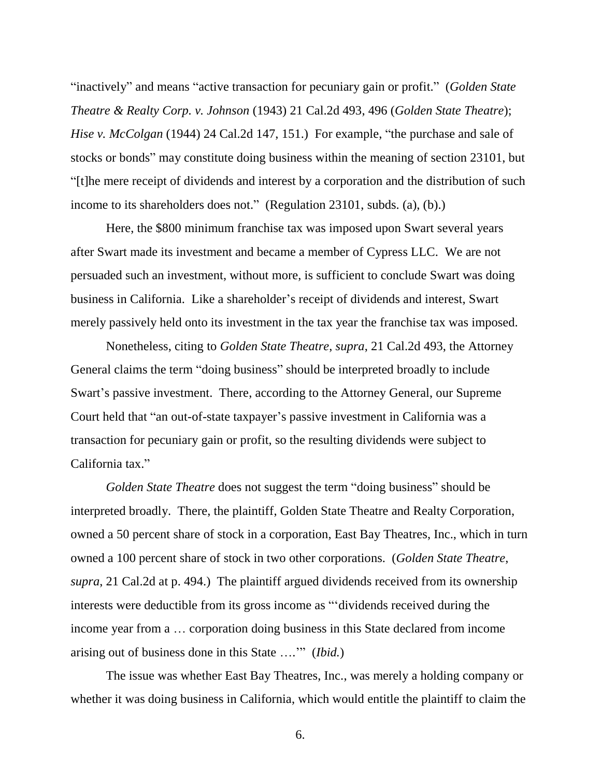"inactively" and means "active transaction for pecuniary gain or profit." (*Golden State Theatre & Realty Corp. v. Johnson* (1943) 21 Cal.2d 493, 496 (*Golden State Theatre*); *Hise v. McColgan* (1944) 24 Cal.2d 147, 151.) For example, "the purchase and sale of stocks or bonds" may constitute doing business within the meaning of section 23101, but "[t]he mere receipt of dividends and interest by a corporation and the distribution of such income to its shareholders does not." (Regulation 23101, subds. (a), (b).)

Here, the \$800 minimum franchise tax was imposed upon Swart several years after Swart made its investment and became a member of Cypress LLC. We are not persuaded such an investment, without more, is sufficient to conclude Swart was doing business in California. Like a shareholder's receipt of dividends and interest, Swart merely passively held onto its investment in the tax year the franchise tax was imposed.

Nonetheless, citing to *Golden State Theatre*, *supra*, 21 Cal.2d 493, the Attorney General claims the term "doing business" should be interpreted broadly to include Swart's passive investment. There, according to the Attorney General, our Supreme Court held that "an out-of-state taxpayer's passive investment in California was a transaction for pecuniary gain or profit, so the resulting dividends were subject to California tax."

*Golden State Theatre* does not suggest the term "doing business" should be interpreted broadly. There, the plaintiff, Golden State Theatre and Realty Corporation, owned a 50 percent share of stock in a corporation, East Bay Theatres, Inc., which in turn owned a 100 percent share of stock in two other corporations. (*Golden State Theatre*, *supra*, 21 Cal.2d at p. 494.) The plaintiff argued dividends received from its ownership interests were deductible from its gross income as "'dividends received during the income year from a … corporation doing business in this State declared from income arising out of business done in this State ….'" (*Ibid.*)

The issue was whether East Bay Theatres, Inc., was merely a holding company or whether it was doing business in California, which would entitle the plaintiff to claim the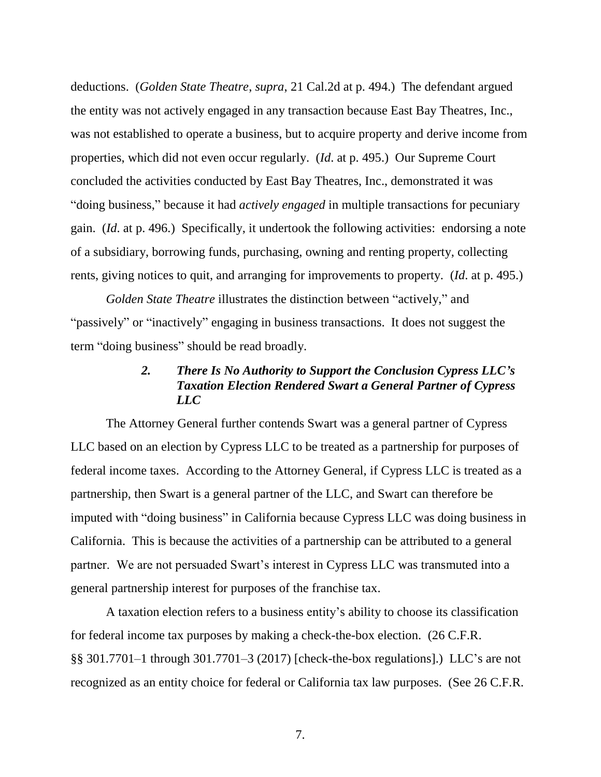deductions. (*Golden State Theatre*, *supra*, 21 Cal.2d at p. 494.) The defendant argued the entity was not actively engaged in any transaction because East Bay Theatres, Inc., was not established to operate a business, but to acquire property and derive income from properties, which did not even occur regularly. (*Id*. at p. 495.) Our Supreme Court concluded the activities conducted by East Bay Theatres, Inc., demonstrated it was "doing business," because it had *actively engaged* in multiple transactions for pecuniary gain. (*Id*. at p. 496.) Specifically, it undertook the following activities: endorsing a note of a subsidiary, borrowing funds, purchasing, owning and renting property, collecting rents, giving notices to quit, and arranging for improvements to property. (*Id*. at p. 495.)

*Golden State Theatre* illustrates the distinction between "actively," and "passively" or "inactively" engaging in business transactions. It does not suggest the term "doing business" should be read broadly.

### *2. There Is No Authority to Support the Conclusion Cypress LLC's Taxation Election Rendered Swart a General Partner of Cypress LLC*

The Attorney General further contends Swart was a general partner of Cypress LLC based on an election by Cypress LLC to be treated as a partnership for purposes of federal income taxes. According to the Attorney General, if Cypress LLC is treated as a partnership, then Swart is a general partner of the LLC, and Swart can therefore be imputed with "doing business" in California because Cypress LLC was doing business in California. This is because the activities of a partnership can be attributed to a general partner. We are not persuaded Swart's interest in Cypress LLC was transmuted into a general partnership interest for purposes of the franchise tax.

A taxation election refers to a business entity's ability to choose its classification for federal income tax purposes by making a check-the-box election. (26 C.F.R. §§ 301.7701–1 through 301.7701–3 (2017) [check-the-box regulations].) LLC's are not recognized as an entity choice for federal or California tax law purposes. (See 26 C.F.R.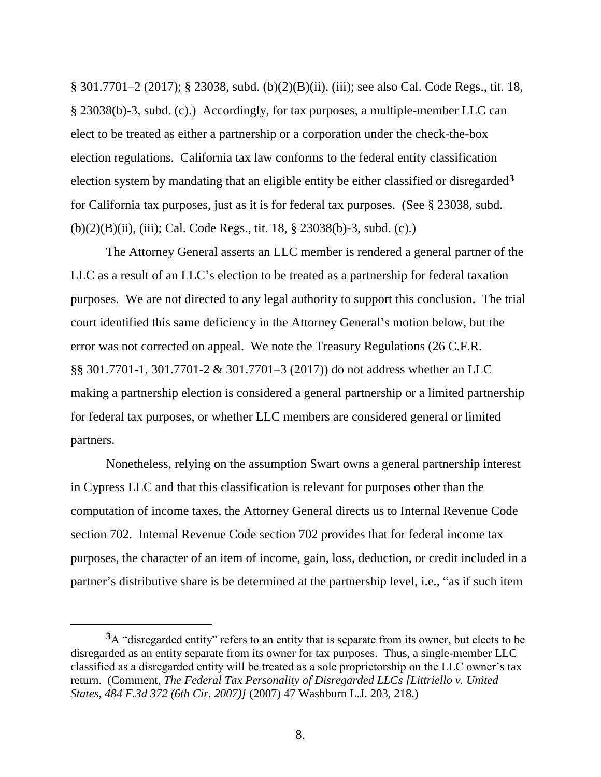§ 301.7701–2 (2017); § 23038, subd. (b)(2)(B)(ii), (iii); see also Cal. Code Regs., tit. 18, § 23038(b)-3, subd. (c).) Accordingly, for tax purposes, a multiple-member LLC can elect to be treated as either a partnership or a corporation under the check-the-box election regulations. California tax law conforms to the federal entity classification election system by mandating that an eligible entity be either classified or disregarded**<sup>3</sup>** for California tax purposes, just as it is for federal tax purposes. (See § 23038, subd. (b)(2)(B)(ii), (iii); Cal. Code Regs., tit. 18, § 23038(b)-3, subd. (c).)

The Attorney General asserts an LLC member is rendered a general partner of the LLC as a result of an LLC's election to be treated as a partnership for federal taxation purposes. We are not directed to any legal authority to support this conclusion. The trial court identified this same deficiency in the Attorney General's motion below, but the error was not corrected on appeal. We note the Treasury Regulations (26 C.F.R. §§ 301.7701-1, 301.7701-2 & 301.7701–3 (2017)) do not address whether an LLC making a partnership election is considered a general partnership or a limited partnership for federal tax purposes, or whether LLC members are considered general or limited partners.

Nonetheless, relying on the assumption Swart owns a general partnership interest in Cypress LLC and that this classification is relevant for purposes other than the computation of income taxes, the Attorney General directs us to Internal Revenue Code section 702. Internal Revenue Code section 702 provides that for federal income tax purposes, the character of an item of income, gain, loss, deduction, or credit included in a partner's distributive share is be determined at the partnership level, i.e., "as if such item

 $\overline{a}$ 

**<sup>3</sup>**A "disregarded entity" refers to an entity that is separate from its owner, but elects to be disregarded as an entity separate from its owner for tax purposes. Thus, a single-member LLC classified as a disregarded entity will be treated as a sole proprietorship on the LLC owner's tax return. (Comment, *The Federal Tax Personality of Disregarded LLCs [Littriello v. United States, 484 F.3d 372 (6th Cir. 2007)]* (2007) 47 Washburn L.J. 203, 218.)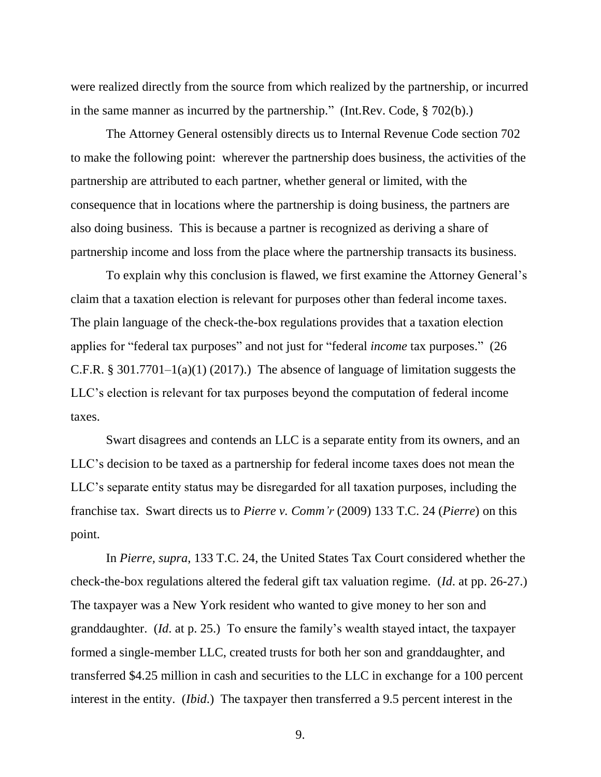were realized directly from the source from which realized by the partnership, or incurred in the same manner as incurred by the partnership." (Int.Rev. Code, § 702(b).)

The Attorney General ostensibly directs us to Internal Revenue Code section 702 to make the following point: wherever the partnership does business, the activities of the partnership are attributed to each partner, whether general or limited, with the consequence that in locations where the partnership is doing business, the partners are also doing business. This is because a partner is recognized as deriving a share of partnership income and loss from the place where the partnership transacts its business.

To explain why this conclusion is flawed, we first examine the Attorney General's claim that a taxation election is relevant for purposes other than federal income taxes. The plain language of the check-the-box regulations provides that a taxation election applies for "federal tax purposes" and not just for "federal *income* tax purposes." (26 C.F.R. § 301.7701–1(a)(1) (2017).) The absence of language of limitation suggests the LLC's election is relevant for tax purposes beyond the computation of federal income taxes.

Swart disagrees and contends an LLC is a separate entity from its owners, and an LLC's decision to be taxed as a partnership for federal income taxes does not mean the LLC's separate entity status may be disregarded for all taxation purposes, including the franchise tax. Swart directs us to *Pierre v. Comm'r* (2009) 133 T.C. 24 (*Pierre*) on this point.

In *Pierre, supra*, 133 T.C. 24, the United States Tax Court considered whether the check-the-box regulations altered the federal gift tax valuation regime. (*Id*. at pp. 26-27.) The taxpayer was a New York resident who wanted to give money to her son and granddaughter. (*Id*. at p. 25.) To ensure the family's wealth stayed intact, the taxpayer formed a single-member LLC, created trusts for both her son and granddaughter, and transferred \$4.25 million in cash and securities to the LLC in exchange for a 100 percent interest in the entity. (*Ibid*.) The taxpayer then transferred a 9.5 percent interest in the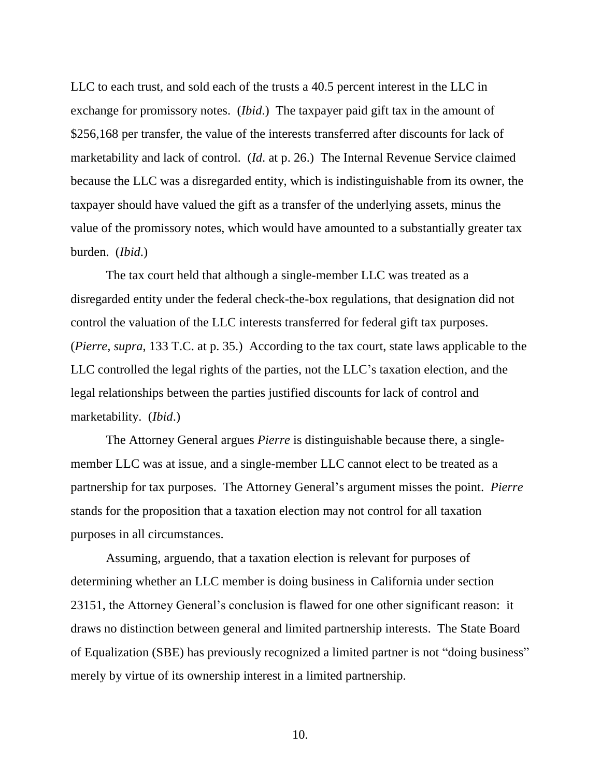LLC to each trust, and sold each of the trusts a 40.5 percent interest in the LLC in exchange for promissory notes. (*Ibid*.) The taxpayer paid gift tax in the amount of \$256,168 per transfer, the value of the interests transferred after discounts for lack of marketability and lack of control. (*Id*. at p. 26.) The Internal Revenue Service claimed because the LLC was a disregarded entity, which is indistinguishable from its owner, the taxpayer should have valued the gift as a transfer of the underlying assets, minus the value of the promissory notes, which would have amounted to a substantially greater tax burden. (*Ibid*.)

The tax court held that although a single-member LLC was treated as a disregarded entity under the federal check-the-box regulations, that designation did not control the valuation of the LLC interests transferred for federal gift tax purposes. (*Pierre, supra*, 133 T.C. at p. 35.) According to the tax court, state laws applicable to the LLC controlled the legal rights of the parties, not the LLC's taxation election, and the legal relationships between the parties justified discounts for lack of control and marketability. (*Ibid*.)

The Attorney General argues *Pierre* is distinguishable because there, a singlemember LLC was at issue, and a single-member LLC cannot elect to be treated as a partnership for tax purposes. The Attorney General's argument misses the point. *Pierre* stands for the proposition that a taxation election may not control for all taxation purposes in all circumstances.

Assuming, arguendo, that a taxation election is relevant for purposes of determining whether an LLC member is doing business in California under section 23151, the Attorney General's conclusion is flawed for one other significant reason: it draws no distinction between general and limited partnership interests. The State Board of Equalization (SBE) has previously recognized a limited partner is not "doing business" merely by virtue of its ownership interest in a limited partnership.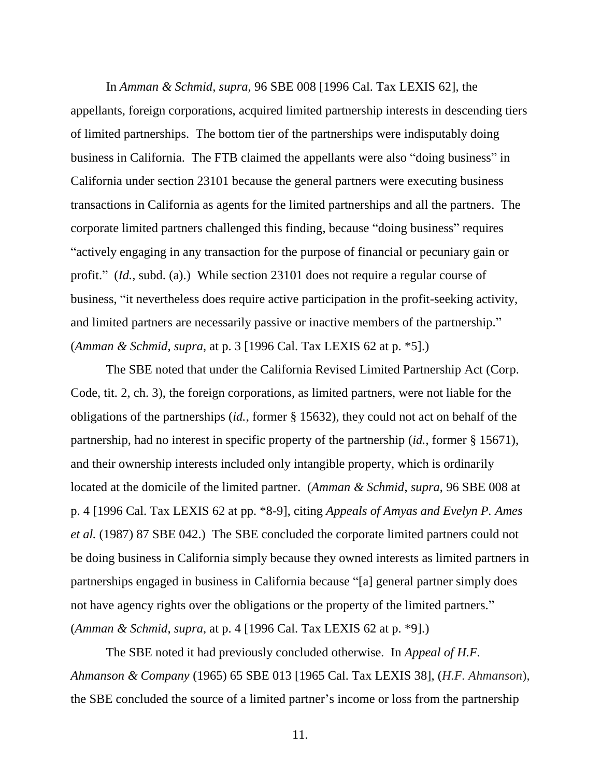In *Amman & Schmid, supra*, 96 SBE 008 [1996 Cal. Tax LEXIS 62], the appellants, foreign corporations, acquired limited partnership interests in descending tiers of limited partnerships. The bottom tier of the partnerships were indisputably doing business in California. The FTB claimed the appellants were also "doing business" in California under section 23101 because the general partners were executing business transactions in California as agents for the limited partnerships and all the partners. The corporate limited partners challenged this finding, because "doing business" requires "actively engaging in any transaction for the purpose of financial or pecuniary gain or profit." (*Id.*, subd. (a).) While section 23101 does not require a regular course of business, "it nevertheless does require active participation in the profit-seeking activity, and limited partners are necessarily passive or inactive members of the partnership." (*Amman & Schmid, supra*, at p. 3 [1996 Cal. Tax LEXIS 62 at p. \*5].)

The SBE noted that under the California Revised Limited Partnership Act (Corp. Code, tit. 2, ch. 3), the foreign corporations, as limited partners, were not liable for the obligations of the partnerships (*id.*, former § 15632), they could not act on behalf of the partnership, had no interest in specific property of the partnership (*id.*, former § 15671), and their ownership interests included only intangible property, which is ordinarily located at the domicile of the limited partner. (*Amman & Schmid*, *supra*, 96 SBE 008 at p. 4 [1996 Cal. Tax LEXIS 62 at pp. \*8-9], citing *Appeals of Amyas and Evelyn P. Ames et al.* (1987) 87 SBE 042.) The SBE concluded the corporate limited partners could not be doing business in California simply because they owned interests as limited partners in partnerships engaged in business in California because "[a] general partner simply does not have agency rights over the obligations or the property of the limited partners." (*Amman & Schmid*, *supra*, at p. 4 [1996 Cal. Tax LEXIS 62 at p. \*9].)

The SBE noted it had previously concluded otherwise*.* In *Appeal of H.F. Ahmanson & Company* (1965) 65 SBE 013 [1965 Cal. Tax LEXIS 38], (*H.F. Ahmanson*), the SBE concluded the source of a limited partner's income or loss from the partnership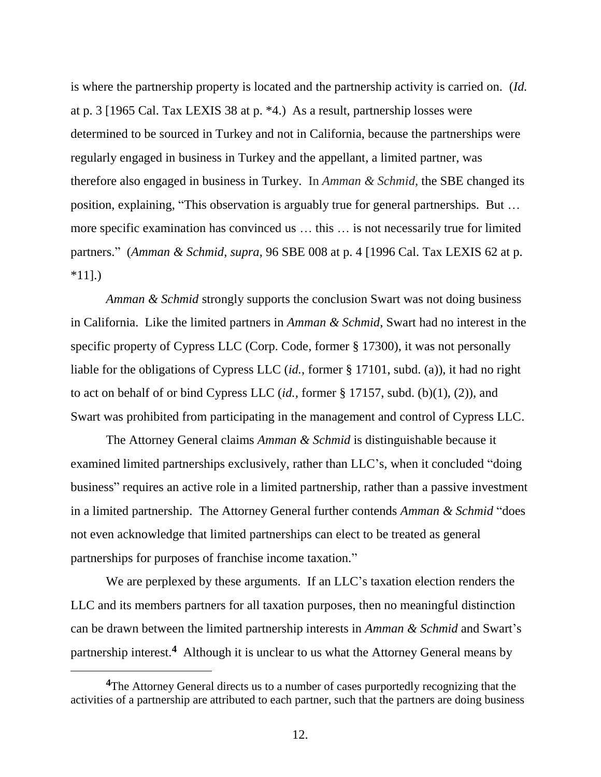is where the partnership property is located and the partnership activity is carried on. (*Id.* at p. 3 [1965 Cal. Tax LEXIS 38 at p. \*4.) As a result, partnership losses were determined to be sourced in Turkey and not in California, because the partnerships were regularly engaged in business in Turkey and the appellant, a limited partner, was therefore also engaged in business in Turkey. In *Amman & Schmid*, the SBE changed its position, explaining, "This observation is arguably true for general partnerships. But … more specific examination has convinced us … this … is not necessarily true for limited partners." (*Amman & Schmid*, *supra*, 96 SBE 008 at p. 4 [1996 Cal. Tax LEXIS 62 at p.  $*11$ .)

*Amman & Schmid* strongly supports the conclusion Swart was not doing business in California. Like the limited partners in *Amman & Schmid*, Swart had no interest in the specific property of Cypress LLC (Corp. Code, former § 17300), it was not personally liable for the obligations of Cypress LLC (*id.*, former § 17101, subd. (a)), it had no right to act on behalf of or bind Cypress LLC (*id.,* former § 17157, subd. (b)(1), (2)), and Swart was prohibited from participating in the management and control of Cypress LLC.

The Attorney General claims *Amman & Schmid* is distinguishable because it examined limited partnerships exclusively, rather than LLC's, when it concluded "doing business" requires an active role in a limited partnership, rather than a passive investment in a limited partnership. The Attorney General further contends *Amman & Schmid* "does not even acknowledge that limited partnerships can elect to be treated as general partnerships for purposes of franchise income taxation."

We are perplexed by these arguments. If an LLC's taxation election renders the LLC and its members partners for all taxation purposes, then no meaningful distinction can be drawn between the limited partnership interests in *Amman & Schmid* and Swart's partnership interest.<sup>4</sup> Although it is unclear to us what the Attorney General means by

<sup>&</sup>lt;sup>4</sup>The Attorney General directs us to a number of cases purportedly recognizing that the activities of a partnership are attributed to each partner, such that the partners are doing business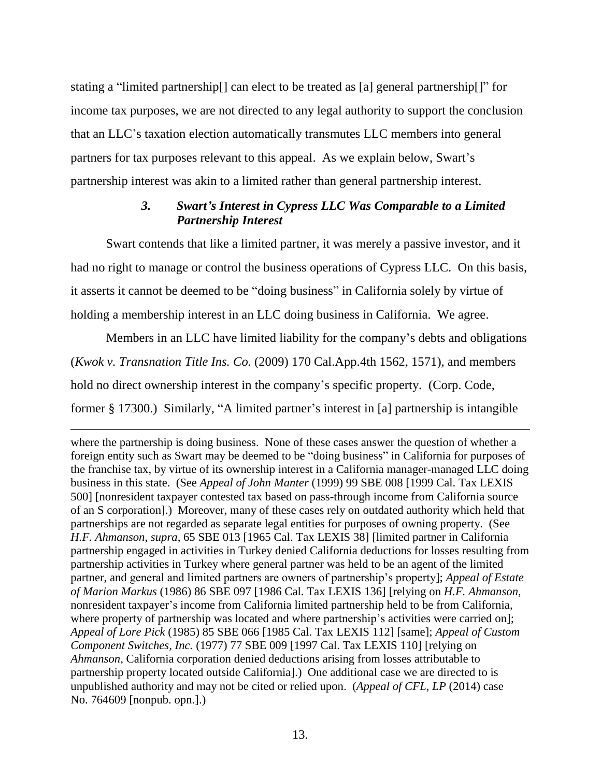stating a "limited partnership[] can elect to be treated as [a] general partnership[]" for income tax purposes, we are not directed to any legal authority to support the conclusion that an LLC's taxation election automatically transmutes LLC members into general partners for tax purposes relevant to this appeal. As we explain below, Swart's partnership interest was akin to a limited rather than general partnership interest.

# *3. Swart's Interest in Cypress LLC Was Comparable to a Limited Partnership Interest*

Swart contends that like a limited partner, it was merely a passive investor, and it had no right to manage or control the business operations of Cypress LLC. On this basis, it asserts it cannot be deemed to be "doing business" in California solely by virtue of holding a membership interest in an LLC doing business in California. We agree.

Members in an LLC have limited liability for the company's debts and obligations (*Kwok v. Transnation Title Ins. Co.* (2009) 170 Cal.App.4th 1562, 1571), and members hold no direct ownership interest in the company's specific property. (Corp. Code, former § 17300.) Similarly, "A limited partner's interest in [a] partnership is intangible

 $\overline{a}$ where the partnership is doing business. None of these cases answer the question of whether a foreign entity such as Swart may be deemed to be "doing business" in California for purposes of the franchise tax, by virtue of its ownership interest in a California manager-managed LLC doing business in this state. (See *Appeal of John Manter* (1999) 99 SBE 008 [1999 Cal. Tax LEXIS 500] [nonresident taxpayer contested tax based on pass-through income from California source of an S corporation].) Moreover, many of these cases rely on outdated authority which held that partnerships are not regarded as separate legal entities for purposes of owning property. (See *H.F. Ahmanson*, *supra*, 65 SBE 013 [1965 Cal. Tax LEXIS 38] [limited partner in California partnership engaged in activities in Turkey denied California deductions for losses resulting from partnership activities in Turkey where general partner was held to be an agent of the limited partner, and general and limited partners are owners of partnership's property]; *Appeal of Estate of Marion Markus* (1986) 86 SBE 097 [1986 Cal. Tax LEXIS 136] [relying on *H.F. Ahmanson*, nonresident taxpayer's income from California limited partnership held to be from California, where property of partnership was located and where partnership's activities were carried on]; *Appeal of Lore Pick* (1985) 85 SBE 066 [1985 Cal. Tax LEXIS 112] [same]; *Appeal of Custom Component Switches, Inc.* (1977) 77 SBE 009 [1997 Cal. Tax LEXIS 110] [relying on *Ahmanson*, California corporation denied deductions arising from losses attributable to partnership property located outside California].) One additional case we are directed to is unpublished authority and may not be cited or relied upon. (*Appeal of CFL, LP* (2014) case No. 764609 [nonpub. opn.].)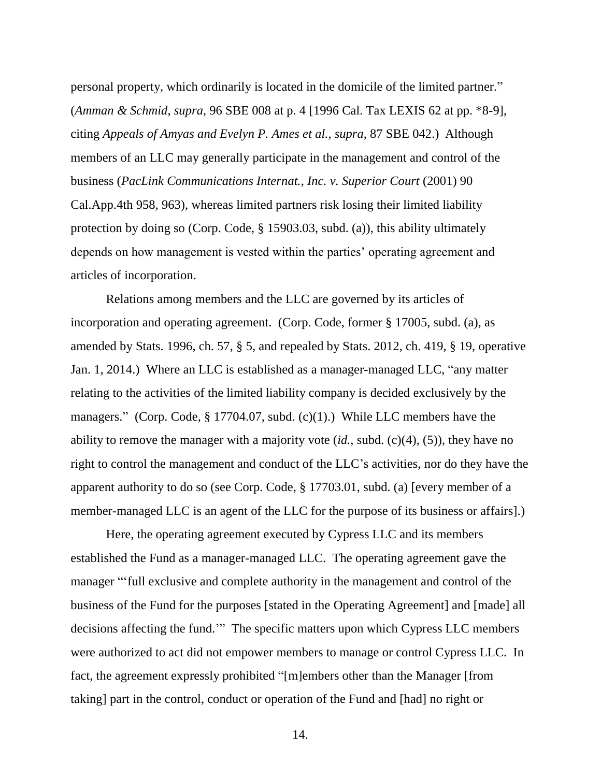personal property, which ordinarily is located in the domicile of the limited partner." (*Amman & Schmid*, *supra*, 96 SBE 008 at p. 4 [1996 Cal. Tax LEXIS 62 at pp. \*8-9], citing *Appeals of Amyas and Evelyn P. Ames et al.*, *supra*, 87 SBE 042.) Although members of an LLC may generally participate in the management and control of the business (*PacLink Communications Internat.*, *Inc. v. Superior Court* (2001) 90 Cal.App.4th 958, 963), whereas limited partners risk losing their limited liability protection by doing so (Corp. Code, § 15903.03, subd. (a)), this ability ultimately depends on how management is vested within the parties' operating agreement and articles of incorporation.

Relations among members and the LLC are governed by its articles of incorporation and operating agreement. (Corp. Code, former § 17005, subd. (a), as amended by Stats. 1996, ch. 57, § 5, and repealed by Stats. 2012, ch. 419, § 19, operative Jan. 1, 2014.) Where an LLC is established as a manager-managed LLC, "any matter relating to the activities of the limited liability company is decided exclusively by the managers." (Corp. Code, § 17704.07, subd. (c)(1).) While LLC members have the ability to remove the manager with a majority vote (*id.*, subd. (c)(4), (5)), they have no right to control the management and conduct of the LLC's activities, nor do they have the apparent authority to do so (see Corp. Code, § 17703.01, subd. (a) [every member of a member-managed LLC is an agent of the LLC for the purpose of its business or affairs].)

Here, the operating agreement executed by Cypress LLC and its members established the Fund as a manager-managed LLC. The operating agreement gave the manager "'full exclusive and complete authority in the management and control of the business of the Fund for the purposes [stated in the Operating Agreement] and [made] all decisions affecting the fund.'" The specific matters upon which Cypress LLC members were authorized to act did not empower members to manage or control Cypress LLC. In fact, the agreement expressly prohibited "[m]embers other than the Manager [from taking] part in the control, conduct or operation of the Fund and [had] no right or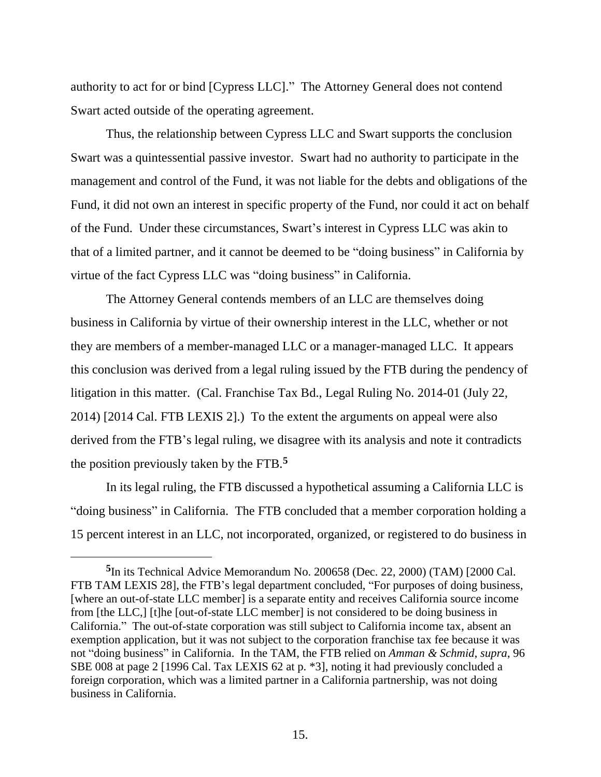authority to act for or bind [Cypress LLC]." The Attorney General does not contend Swart acted outside of the operating agreement.

Thus, the relationship between Cypress LLC and Swart supports the conclusion Swart was a quintessential passive investor. Swart had no authority to participate in the management and control of the Fund, it was not liable for the debts and obligations of the Fund, it did not own an interest in specific property of the Fund, nor could it act on behalf of the Fund. Under these circumstances, Swart's interest in Cypress LLC was akin to that of a limited partner, and it cannot be deemed to be "doing business" in California by virtue of the fact Cypress LLC was "doing business" in California.

The Attorney General contends members of an LLC are themselves doing business in California by virtue of their ownership interest in the LLC, whether or not they are members of a member-managed LLC or a manager-managed LLC. It appears this conclusion was derived from a legal ruling issued by the FTB during the pendency of litigation in this matter. (Cal. Franchise Tax Bd., Legal Ruling No. 2014-01 (July 22, 2014) [2014 Cal. FTB LEXIS 2].) To the extent the arguments on appeal were also derived from the FTB's legal ruling, we disagree with its analysis and note it contradicts the position previously taken by the FTB.**<sup>5</sup>**

In its legal ruling, the FTB discussed a hypothetical assuming a California LLC is "doing business" in California. The FTB concluded that a member corporation holding a 15 percent interest in an LLC, not incorporated, organized, or registered to do business in

 $\overline{a}$ 

**<sup>5</sup>** In its Technical Advice Memorandum No. 200658 (Dec. 22, 2000) (TAM) [2000 Cal. FTB TAM LEXIS 28], the FTB's legal department concluded, "For purposes of doing business, [where an out-of-state LLC member] is a separate entity and receives California source income from [the LLC,] [t]he [out-of-state LLC member] is not considered to be doing business in California." The out-of-state corporation was still subject to California income tax, absent an exemption application, but it was not subject to the corporation franchise tax fee because it was not "doing business" in California. In the TAM, the FTB relied on *Amman & Schmid*, *supra*, 96 SBE 008 at page 2 [1996 Cal. Tax LEXIS 62 at p. \*3], noting it had previously concluded a foreign corporation, which was a limited partner in a California partnership, was not doing business in California.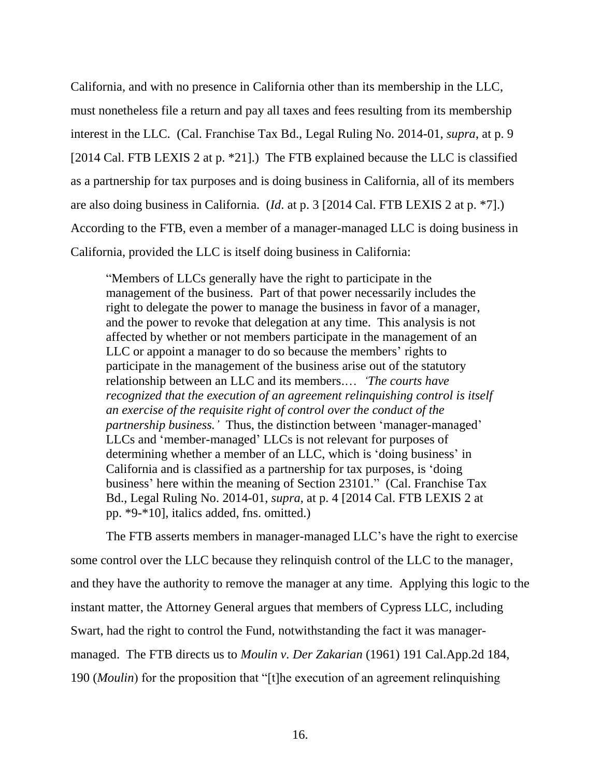California, and with no presence in California other than its membership in the LLC, must nonetheless file a return and pay all taxes and fees resulting from its membership interest in the LLC. (Cal. Franchise Tax Bd., Legal Ruling No. 2014-01, *supra*, at p. 9 [2014 Cal. FTB LEXIS 2 at p. \*21].) The FTB explained because the LLC is classified as a partnership for tax purposes and is doing business in California, all of its members are also doing business in California. (*Id*. at p. 3 [2014 Cal. FTB LEXIS 2 at p. \*7].) According to the FTB, even a member of a manager-managed LLC is doing business in California, provided the LLC is itself doing business in California:

"Members of LLCs generally have the right to participate in the management of the business. Part of that power necessarily includes the right to delegate the power to manage the business in favor of a manager, and the power to revoke that delegation at any time. This analysis is not affected by whether or not members participate in the management of an LLC or appoint a manager to do so because the members' rights to participate in the management of the business arise out of the statutory relationship between an LLC and its members.… *'The courts have recognized that the execution of an agreement relinquishing control is itself an exercise of the requisite right of control over the conduct of the partnership business.'* Thus, the distinction between 'manager-managed' LLCs and 'member-managed' LLCs is not relevant for purposes of determining whether a member of an LLC, which is 'doing business' in California and is classified as a partnership for tax purposes, is 'doing business' here within the meaning of Section 23101." (Cal. Franchise Tax Bd., Legal Ruling No. 2014-01, *supra*, at p. 4 [2014 Cal. FTB LEXIS 2 at pp. \*9-\*10], italics added, fns. omitted.)

The FTB asserts members in manager-managed LLC's have the right to exercise some control over the LLC because they relinquish control of the LLC to the manager, and they have the authority to remove the manager at any time. Applying this logic to the instant matter, the Attorney General argues that members of Cypress LLC, including Swart, had the right to control the Fund, notwithstanding the fact it was managermanaged. The FTB directs us to *Moulin v. Der Zakarian* (1961) 191 Cal.App.2d 184, 190 (*Moulin*) for the proposition that "[t]he execution of an agreement relinquishing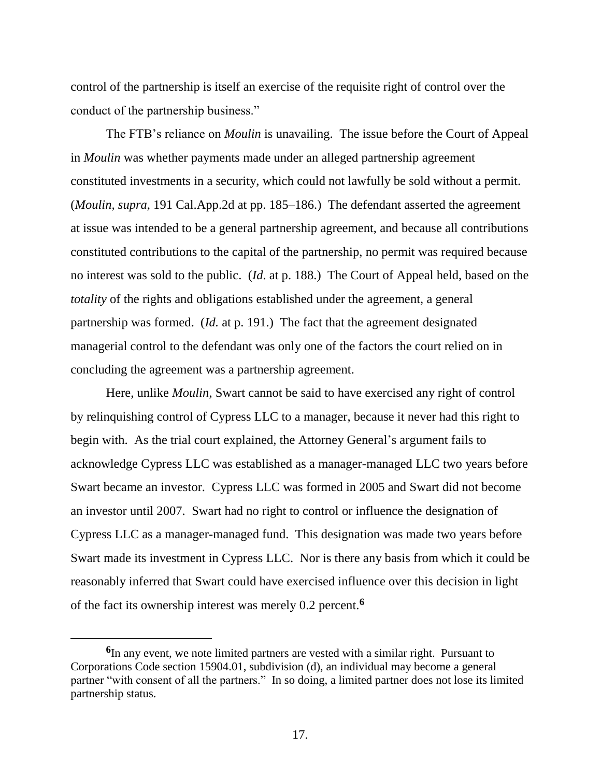control of the partnership is itself an exercise of the requisite right of control over the conduct of the partnership business."

The FTB's reliance on *Moulin* is unavailing. The issue before the Court of Appeal in *Moulin* was whether payments made under an alleged partnership agreement constituted investments in a security, which could not lawfully be sold without a permit. (*Moulin, supra*, 191 Cal.App.2d at pp. 185–186.) The defendant asserted the agreement at issue was intended to be a general partnership agreement, and because all contributions constituted contributions to the capital of the partnership, no permit was required because no interest was sold to the public. (*Id*. at p. 188.) The Court of Appeal held, based on the *totality* of the rights and obligations established under the agreement, a general partnership was formed. (*Id.* at p. 191.) The fact that the agreement designated managerial control to the defendant was only one of the factors the court relied on in concluding the agreement was a partnership agreement.

Here, unlike *Moulin*, Swart cannot be said to have exercised any right of control by relinquishing control of Cypress LLC to a manager, because it never had this right to begin with. As the trial court explained, the Attorney General's argument fails to acknowledge Cypress LLC was established as a manager-managed LLC two years before Swart became an investor. Cypress LLC was formed in 2005 and Swart did not become an investor until 2007. Swart had no right to control or influence the designation of Cypress LLC as a manager-managed fund. This designation was made two years before Swart made its investment in Cypress LLC. Nor is there any basis from which it could be reasonably inferred that Swart could have exercised influence over this decision in light of the fact its ownership interest was merely 0.2 percent. **6**

 $\overline{a}$ 

**<sup>6</sup>** In any event, we note limited partners are vested with a similar right. Pursuant to Corporations Code section 15904.01, subdivision (d), an individual may become a general partner "with consent of all the partners." In so doing, a limited partner does not lose its limited partnership status.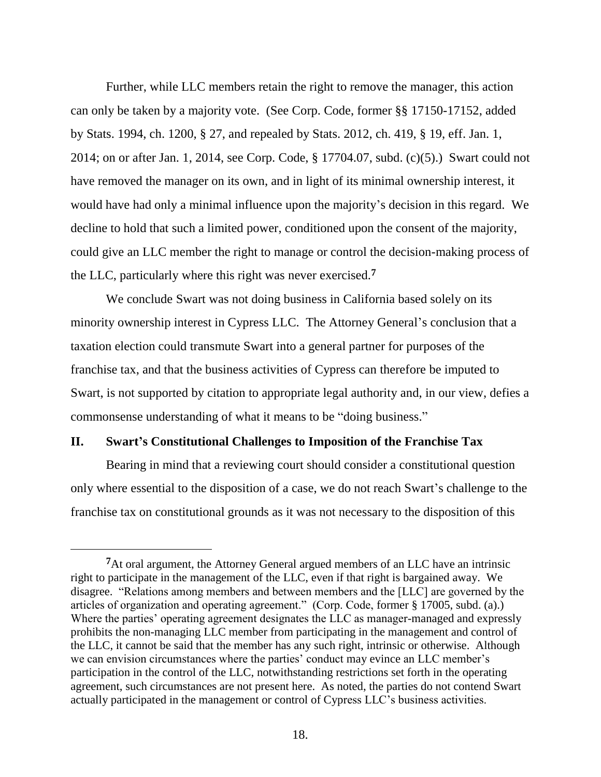Further, while LLC members retain the right to remove the manager, this action can only be taken by a majority vote. (See Corp. Code, former §§ 17150-17152, added by Stats. 1994, ch. 1200, § 27, and repealed by Stats. 2012, ch. 419, § 19, eff. Jan. 1, 2014; on or after Jan. 1, 2014, see Corp. Code, § 17704.07, subd. (c)(5).) Swart could not have removed the manager on its own, and in light of its minimal ownership interest, it would have had only a minimal influence upon the majority's decision in this regard. We decline to hold that such a limited power, conditioned upon the consent of the majority, could give an LLC member the right to manage or control the decision-making process of the LLC, particularly where this right was never exercised.**<sup>7</sup>**

We conclude Swart was not doing business in California based solely on its minority ownership interest in Cypress LLC. The Attorney General's conclusion that a taxation election could transmute Swart into a general partner for purposes of the franchise tax, and that the business activities of Cypress can therefore be imputed to Swart, is not supported by citation to appropriate legal authority and, in our view, defies a commonsense understanding of what it means to be "doing business."

### **II. Swart's Constitutional Challenges to Imposition of the Franchise Tax**

Bearing in mind that a reviewing court should consider a constitutional question only where essential to the disposition of a case, we do not reach Swart's challenge to the franchise tax on constitutional grounds as it was not necessary to the disposition of this

**<sup>7</sup>**At oral argument, the Attorney General argued members of an LLC have an intrinsic right to participate in the management of the LLC, even if that right is bargained away. We disagree. "Relations among members and between members and the [LLC] are governed by the articles of organization and operating agreement." (Corp. Code, former § 17005, subd. (a).) Where the parties' operating agreement designates the LLC as manager-managed and expressly prohibits the non-managing LLC member from participating in the management and control of the LLC, it cannot be said that the member has any such right, intrinsic or otherwise. Although we can envision circumstances where the parties' conduct may evince an LLC member's participation in the control of the LLC, notwithstanding restrictions set forth in the operating agreement, such circumstances are not present here. As noted, the parties do not contend Swart actually participated in the management or control of Cypress LLC's business activities.